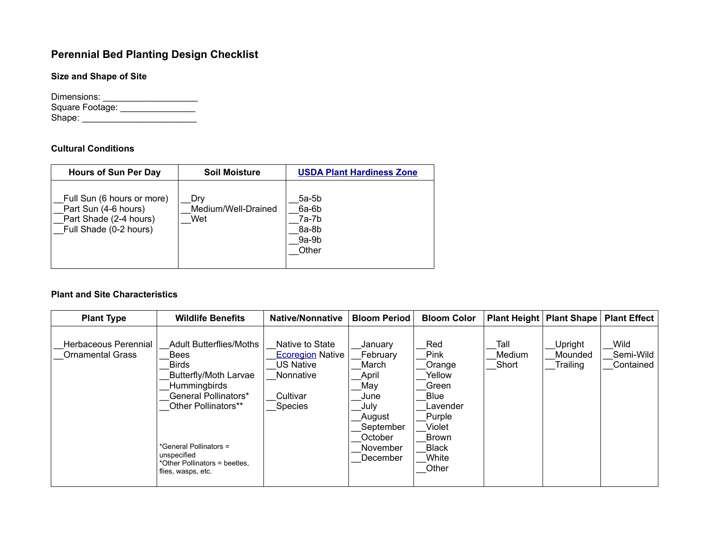# **Perennial Bed Planting Design Checklist**

**Size and Shape of Site**

Dimensions: \_\_\_\_\_\_\_\_\_\_\_\_\_\_\_\_\_\_\_ Square Footage: \_\_\_\_\_\_\_\_\_\_\_\_\_\_\_\_\_\_ Shape: \_\_\_\_\_\_\_\_\_\_\_\_\_\_\_\_\_\_\_\_\_\_\_

## **Cultural Conditions**

| <b>Hours of Sun Per Day</b>                                                                            | <b>Soil Moisture</b>              | <b>USDA Plant Hardiness Zone</b>                         |
|--------------------------------------------------------------------------------------------------------|-----------------------------------|----------------------------------------------------------|
| Full Sun (6 hours or more)<br>Part Sun (4-6 hours)<br>Part Shade (2-4 hours)<br>Full Shade (0-2 hours) | Drv<br>Medium/Well-Drained<br>Wet | $5a-5b$<br>$6a-6b$<br>7a-7b<br>8a-8b<br>$9a-9b$<br>Other |

#### **Plant and Site Characteristics**

| <b>Plant Type</b>                               | <b>Wildlife Benefits</b>                                                                                                                                                                                                                                            | <b>Native/Nonnative</b>                                                                                   | <b>Bloom Period</b>                                                                                                    | <b>Bloom Color</b>                                                                                                                 |                         | Plant Height   Plant Shape     | <b>Plant Effect</b>            |
|-------------------------------------------------|---------------------------------------------------------------------------------------------------------------------------------------------------------------------------------------------------------------------------------------------------------------------|-----------------------------------------------------------------------------------------------------------|------------------------------------------------------------------------------------------------------------------------|------------------------------------------------------------------------------------------------------------------------------------|-------------------------|--------------------------------|--------------------------------|
| Herbaceous Perennial<br><b>Ornamental Grass</b> | <b>Adult Butterflies/Moths</b><br><b>Bees</b><br><b>Birds</b><br><b>Butterfly/Moth Larvae</b><br><b>Hummingbirds</b><br>General Pollinators*<br>Other Pollinators**<br>*General Pollinators =<br>unspecified<br>*Other Pollinators = beetles,<br>flies, wasps, etc. | Native to State<br><b>Ecoregion Native</b><br><b>US Native</b><br>Nonnative<br>Cultivar<br><b>Species</b> | January<br>February<br>March<br>April<br>Mav<br>June<br>July<br>August<br>September<br>October<br>November<br>December | Red<br>Pink<br>Orange<br>Yellow<br>Green<br><b>Blue</b><br>Lavender<br>Purple<br>Violet<br>Brown<br><b>Black</b><br>White<br>Other | Tall<br>Medium<br>Short | Upright<br>Mounded<br>Trailing | Wild<br>Semi-Wild<br>Contained |